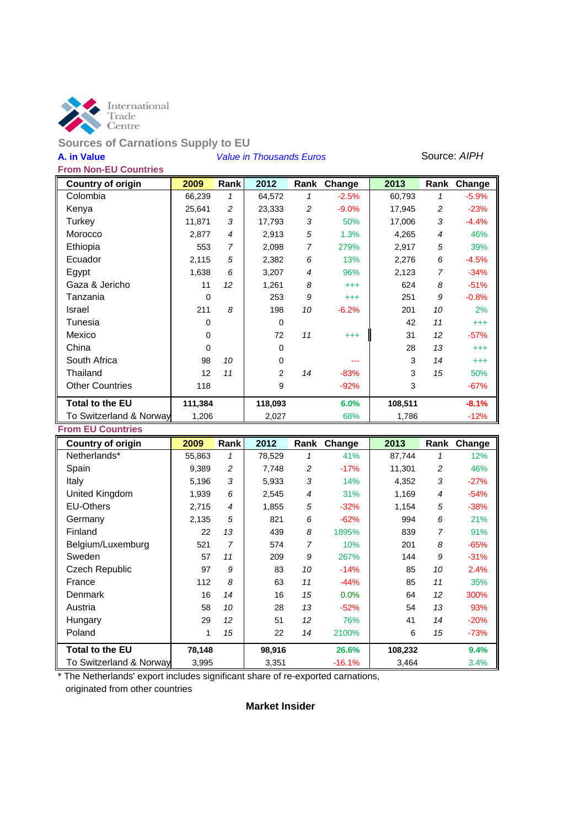

# **Sources of Carnations Supply to EU**

# **A. in Value** *Value in Thousands Euros* Source: *AIPH*

|--|

| <b>Country of origin</b> | 2009     | Rank           | 2012    | Rank | Change   | 2013    | Rank           | Change   |
|--------------------------|----------|----------------|---------|------|----------|---------|----------------|----------|
| Colombia                 | 66,239   | $\mathcal I$   | 64,572  | 1    | $-2.5%$  | 60,793  | 1              | $-5.9%$  |
| Kenya                    | 25,641   | 2              | 23,333  | 2    | $-9.0%$  | 17,945  | 2              | $-23%$   |
| Turkey                   | 11,871   | 3              | 17,793  | 3    | 50%      | 17,006  | 3              | $-4.4%$  |
| Morocco                  | 2,877    | $\overline{4}$ | 2,913   | 5    | 1.3%     | 4,265   | $\overline{4}$ | 46%      |
| Ethiopia                 | 553      | 7              | 2,098   | 7    | 279%     | 2,917   | 5              | 39%      |
| Ecuador                  | 2,115    | 5              | 2,382   | 6    | 13%      | 2,276   | 6              | $-4.5%$  |
| Egypt                    | 1,638    | 6              | 3,207   | 4    | 96%      | 2,123   | 7              | $-34%$   |
| Gaza & Jericho           | 11       | 12             | 1,261   | 8    | $^{+++}$ | 624     | 8              | $-51%$   |
| Tanzania                 | $\Omega$ |                | 253     | 9    | $^{+++}$ | 251     | 9              | $-0.8%$  |
| Israel                   | 211      | 8              | 198     | 10   | $-6.2%$  | 201     | 10             | 2%       |
| Tunesia                  | $\Omega$ |                | 0       |      |          | 42      | 11             | $^{+++}$ |
| Mexico                   | 0        |                | 72      | 11   | $^{+++}$ | 31      | 12             | $-57%$   |
| China                    | $\Omega$ |                | 0       |      |          | 28      | 13             | $^{+++}$ |
| South Africa             | 98       | 10             | 0       |      |          | 3       | 14             | $^{+++}$ |
| Thailand                 | 12       | 11             | 2       | 14   | $-83%$   | 3       | 15             | 50%      |
| <b>Other Countries</b>   | 118      |                | 9       |      | $-92%$   | 3       |                | $-67%$   |
| <b>Total to the EU</b>   | 111,384  |                | 118,093 |      | 6.0%     | 108,511 |                | $-8.1%$  |
| To Switzerland & Norway  | 1,206    |                | 2,027   |      | 68%      | 1,786   |                | $-12%$   |

#### **From EU Countries**

| <b>Country of origin</b> | 2009   | <b>Rank</b>    | 2012   |    | Rank Change | 2013    |                | Rank Change |
|--------------------------|--------|----------------|--------|----|-------------|---------|----------------|-------------|
| Netherlands*             | 55,863 | 1              | 78,529 | 1  | 41%         | 87,744  | 1              | 12%         |
| Spain                    | 9,389  | $\overline{c}$ | 7,748  | 2  | $-17%$      | 11,301  | 2              | 46%         |
| Italy                    | 5,196  | 3              | 5,933  | 3  | 14%         | 4,352   | 3              | $-27%$      |
| United Kingdom           | 1,939  | 6              | 2,545  | 4  | 31%         | 1,169   | $\overline{4}$ | $-54%$      |
| <b>EU-Others</b>         | 2,715  | $\overline{4}$ | 1,855  | 5  | $-32%$      | 1,154   | 5              | $-38%$      |
| Germany                  | 2,135  | 5              | 821    | 6  | $-62%$      | 994     | 6              | 21%         |
| Finland                  | 22     | 13             | 439    | 8  | 1895%       | 839     | 7              | 91%         |
| Belgium/Luxemburg        | 521    | 7              | 574    | 7  | 10%         | 201     | 8              | -65%        |
| Sweden                   | 57     | 11             | 209    | 9  | 267%        | 144     | 9              | $-31%$      |
| Czech Republic           | 97     | 9              | 83     | 10 | $-14%$      | 85      | 10             | 2.4%        |
| France                   | 112    | 8              | 63     | 11 | $-44%$      | 85      | 11             | 35%         |
| Denmark                  | 16     | 14             | 16     | 15 | 0.0%        | 64      | 12             | 300%        |
| Austria                  | 58     | 10             | 28     | 13 | $-52%$      | 54      | 13             | 93%         |
| Hungary                  | 29     | 12             | 51     | 12 | 76%         | 41      | 14             | $-20%$      |
| Poland                   | 1      | 15             | 22     | 14 | 2100%       | 6       | 15             | -73%        |
| <b>Total to the EU</b>   | 78,148 |                | 98,916 |    | 26.6%       | 108,232 |                | 9.4%        |
| To Switzerland & Norway  | 3,995  |                | 3,351  |    | $-16.1%$    | 3,464   |                | 3.4%        |

\* The Netherlands' export includes significant share of re-exported carnations, originated from other countries

#### **Market Insider**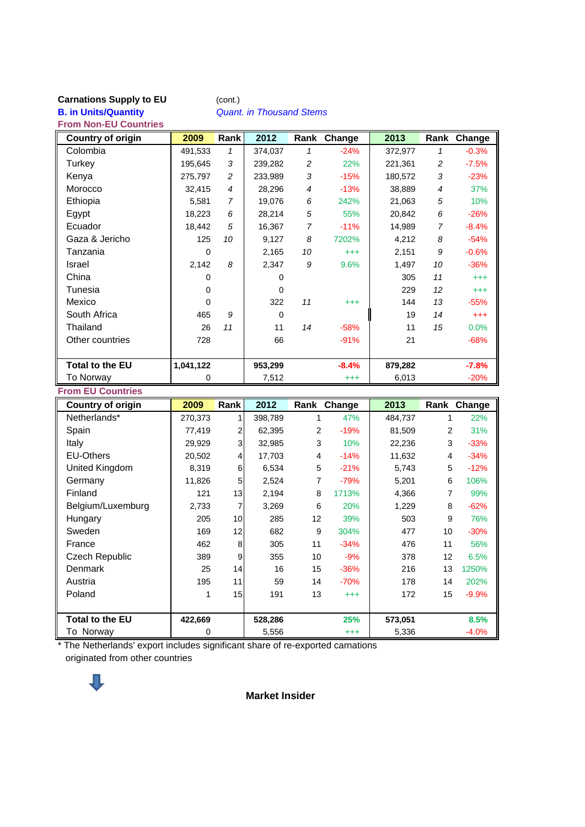#### **Carnations Supply to EU** (cont.)

**B. in Units/Quantity** *Quant. in Thousand Stems*

**From Non-EU Countries**

| <b>Country of origin</b> | 2009      | <b>Rank</b>    | 2012     | Rank           | Change   | 2013    | Rank           | Change   |
|--------------------------|-----------|----------------|----------|----------------|----------|---------|----------------|----------|
| Colombia                 | 491,533   | $\mathcal I$   | 374,037  | 1              | $-24%$   | 372,977 | 1              | $-0.3%$  |
| Turkey                   | 195,645   | 3              | 239,282  | 2              | 22%      | 221,361 | 2              | $-7.5%$  |
| Kenya                    | 275,797   | 2              | 233,989  | 3              | $-15%$   | 180,572 | 3              | $-23%$   |
| Morocco                  | 32,415    | $\overline{4}$ | 28,296   | $\overline{4}$ | $-13%$   | 38,889  | $\overline{4}$ | 37%      |
| Ethiopia                 | 5,581     | 7              | 19,076   | 6              | 242%     | 21,063  | 5              | 10%      |
| Egypt                    | 18,223    | 6              | 28,214   | 5              | 55%      | 20,842  | 6              | $-26%$   |
| Ecuador                  | 18,442    | 5              | 16,367   | $\overline{7}$ | $-11%$   | 14,989  | $\overline{7}$ | $-8.4%$  |
| Gaza & Jericho           | 125       | 10             | 9,127    | 8              | 7202%    | 4,212   | 8              | $-54%$   |
| Tanzania                 | 0         |                | 2,165    | 10             | $^{+++}$ | 2,151   | 9              | $-0.6%$  |
| Israel                   | 2,142     | 8              | 2,347    | 9              | 9.6%     | 1,497   | 10             | $-36%$   |
| China                    | 0         |                | 0        |                |          | 305     | 11             | $^{+++}$ |
| Tunesia                  | 0         |                | $\Omega$ |                |          | 229     | 12             | $^{+++}$ |
| Mexico                   | $\Omega$  |                | 322      | 11             | $^{+++}$ | 144     | 13             | $-55%$   |
| South Africa             | 465       | 9              | $\Omega$ |                |          | 19      | 14             | $^{+++}$ |
| Thailand                 | 26        | 11             | 11       | 14             | $-58%$   | 11      | 15             | 0.0%     |
| Other countries          | 728       |                | 66       |                | $-91%$   | 21      |                | $-68%$   |
|                          |           |                |          |                |          |         |                |          |
| <b>Total to the EU</b>   | 1,041,122 |                | 953,299  |                | $-8.4%$  | 879,282 |                | $-7.8%$  |
| To Norway                | 0         |                | 7,512    |                | $^{+++}$ | 6,013   |                | $-20%$   |

#### **From EU Countries**

| <b>Country of origin</b> | 2009    | <b>Rank</b> | 2012    |                 | Rank Change | 2013    |    | Rank Change |
|--------------------------|---------|-------------|---------|-----------------|-------------|---------|----|-------------|
| Netherlands*             | 270,373 |             | 398,789 | 1               | 47%         | 484,737 |    | <b>22%</b>  |
| Spain                    | 77,419  | 2           | 62,395  | 2               | $-19%$      | 81,509  | 2  | 31%         |
| Italy                    | 29,929  | 3           | 32,985  | 3               | 10%         | 22,236  | 3  | $-33%$      |
| <b>EU-Others</b>         | 20,502  | 4           | 17,703  | 4               | $-14%$      | 11,632  | 4  | $-34%$      |
| United Kingdom           | 8,319   | 6           | 6,534   | 5               | $-21%$      | 5,743   | 5  | $-12%$      |
| Germany                  | 11,826  | 5           | 2,524   | 7               | $-79%$      | 5,201   | 6  | 106%        |
| Finland                  | 121     | 13          | 2,194   | 8               | 1713%       | 4,366   | 7  | 99%         |
| Belgium/Luxemburg        | 2,733   | 7           | 3,269   | 6               | 20%         | 1,229   | 8  | $-62%$      |
| Hungary                  | 205     | 10          | 285     | 12 <sup>2</sup> | 39%         | 503     | 9  | 76%         |
| Sweden                   | 169     | 12          | 682     | 9               | 304%        | 477     | 10 | $-30%$      |
| France                   | 462     | 8           | 305     | 11              | $-34%$      | 476     | 11 | 56%         |
| Czech Republic           | 389     | 9           | 355     | 10              | $-9%$       | 378     | 12 | 6.5%        |
| <b>Denmark</b>           | 25      | 14          | 16      | 15              | $-36%$      | 216     | 13 | 1250%       |
| Austria                  | 195     | 11          | 59      | 14              | $-70%$      | 178     | 14 | 202%        |
| Poland                   | 1       | 15          | 191     | 13              | $^{+++}$    | 172     | 15 | $-9.9%$     |
|                          |         |             |         |                 |             |         |    |             |
| <b>Total to the EU</b>   | 422,669 |             | 528,286 |                 | 25%         | 573,051 |    | 8.5%        |
| To Norway                | 0       |             | 5,556   |                 | $^{+++}$    | 5,336   |    | $-4.0\%$    |

\* The Netherlands' export includes significant share of re-exported carnations originated from other countries



**Market Insider**